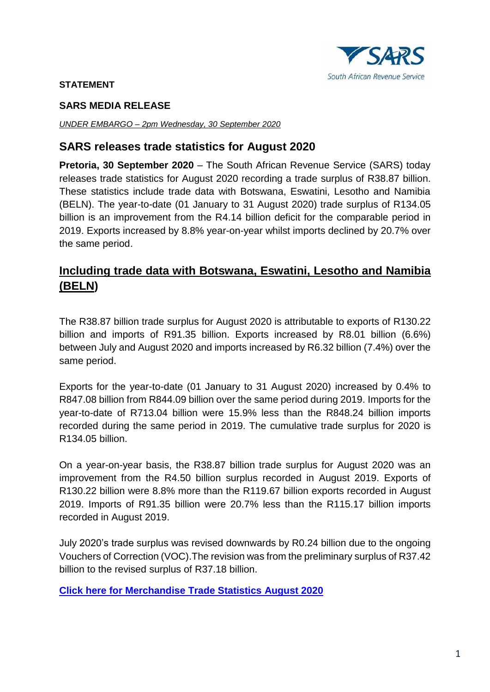

#### **STATEMENT**

#### **SARS MEDIA RELEASE**

*UNDER EMBARGO – 2pm Wednesday, 30 September 2020*

### **SARS releases trade statistics for August 2020**

**Pretoria, 30 September 2020** – The South African Revenue Service (SARS) today releases trade statistics for August 2020 recording a trade surplus of R38.87 billion. These statistics include trade data with Botswana, Eswatini, Lesotho and Namibia (BELN). The year-to-date (01 January to 31 August 2020) trade surplus of R134.05 billion is an improvement from the R4.14 billion deficit for the comparable period in 2019. Exports increased by 8.8% year-on-year whilst imports declined by 20.7% over the same period.

## **Including trade data with Botswana, Eswatini, Lesotho and Namibia (BELN)**

The R38.87 billion trade surplus for August 2020 is attributable to exports of R130.22 billion and imports of R91.35 billion. Exports increased by R8.01 billion (6.6%) between July and August 2020 and imports increased by R6.32 billion (7.4%) over the same period.

Exports for the year-to-date (01 January to 31 August 2020) increased by 0.4% to R847.08 billion from R844.09 billion over the same period during 2019. Imports for the year-to-date of R713.04 billion were 15.9% less than the R848.24 billion imports recorded during the same period in 2019. The cumulative trade surplus for 2020 is R134.05 billion.

On a year-on-year basis, the R38.87 billion trade surplus for August 2020 was an improvement from the R4.50 billion surplus recorded in August 2019. Exports of R130.22 billion were 8.8% more than the R119.67 billion exports recorded in August 2019. Imports of R91.35 billion were 20.7% less than the R115.17 billion imports recorded in August 2019.

July 2020's trade surplus was revised downwards by R0.24 billion due to the ongoing Vouchers of Correction (VOC).The revision was from the preliminary surplus of R37.42 billion to the revised surplus of R37.18 billion.

**[Click here for Merchandise Trade Statistics August](http://www.sars.gov.za/ClientSegments/Customs-Excise/Trade-Statistics/Pages/Merchandise-Trade-Statistics.aspx) 2020**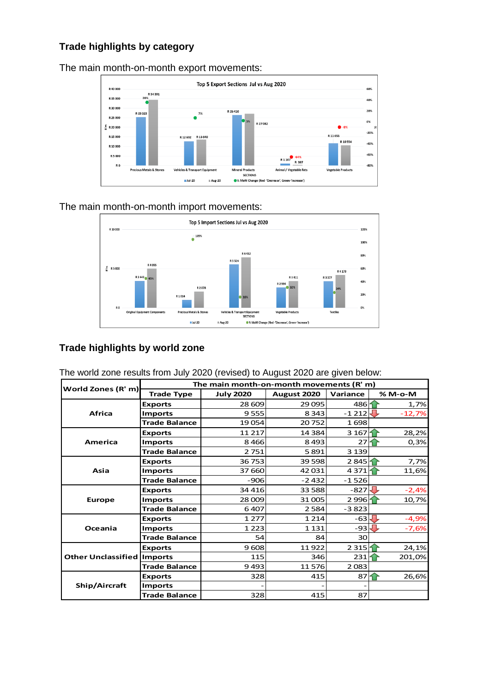### **Trade highlights by category**

Top 5 Export Sections Jul vs Aug 2020 R 40.000 R 34 391<br>36% 60% **R 35.000** 40% R 30,000 .<br>20% R 26410 R 25 3 25  $7%$ R 25 000  $\overline{\phantom{a}}$ 0% R 27 082  $\frac{E}{c}$  R 20 000  $-20%$ R 11 653 R 15 000 R 12 692 R 13 640 R 10554  $-40%$ R 10 000 -60% R 5 000 R 1 107 R 397 -80% R O Animal / Vegetable Fats **Precious Metals & Stones** es & Transport Equi **Mineral Products** Vegetable Products **SECTIONS**  $_{\blacksquare}$  Jul-20 • % MoM Change (Red - 'Dec  $\parallel$  Aug-20 een-'Increase')

The main month-on-month export movements:

The main month-on-month import movements:



### **Trade highlights by world zone**

|                                   | The main month-on-month movements (R' m) |                  |             |                   |               |  |  |  |  |  |
|-----------------------------------|------------------------------------------|------------------|-------------|-------------------|---------------|--|--|--|--|--|
| World Zones (R' m)                | <b>Trade Type</b>                        | <b>July 2020</b> | August 2020 | Variance          | % M-o-M       |  |  |  |  |  |
|                                   | <b>Exports</b>                           | 28 609           | 29 0 95     | 486 <u>1</u>      | 1,7%          |  |  |  |  |  |
| <b>Africa</b>                     | <b>Imports</b>                           | 9555             | 8 3 4 3     | $-1212$           | ┺<br>$-12,7%$ |  |  |  |  |  |
|                                   | <b>Trade Balance</b>                     | 19 054           | 20752       | 1698              |               |  |  |  |  |  |
|                                   | <b>Exports</b>                           | 11 217           | 14 3 84     | 3 1 6 7           | 28,2%         |  |  |  |  |  |
| <b>America</b>                    | <b>Imports</b>                           | 8466             | 8 4 9 3     | 27                | 0,3%          |  |  |  |  |  |
|                                   | <b>Trade Balance</b>                     | 2751             | 5891        | 3 1 3 9           |               |  |  |  |  |  |
|                                   | <b>Exports</b>                           | 36 753           | 39 5 98     | 2845 <sup>2</sup> | 7,7%          |  |  |  |  |  |
| Asia                              | <b>Imports</b>                           | 37 660           | 42 031      | 4371              | 11,6%         |  |  |  |  |  |
|                                   | <b>Trade Balance</b>                     | $-906$           | $-2432$     | $-1526$           |               |  |  |  |  |  |
|                                   | <b>Exports</b>                           | 34 4 16          | 33 5 88     | $-827$            | J<br>$-2,4%$  |  |  |  |  |  |
| <b>Europe</b>                     | <b>Imports</b>                           | 28 009           | 31 005      | 2996 <sup>1</sup> | 10,7%         |  |  |  |  |  |
|                                   | <b>Trade Balance</b>                     | 6407             | 2 5 8 4     | $-3823$           |               |  |  |  |  |  |
|                                   | <b>Exports</b>                           | 1 2 7 7          | 1 2 1 4     | $-63$             | $-4,9%$       |  |  |  |  |  |
| Oceania                           | <b>Imports</b>                           | 1 2 2 3          | 1 1 3 1     | $-93$             | $-7,6%$       |  |  |  |  |  |
|                                   | <b>Trade Balance</b>                     | 54               | 84          | 30                |               |  |  |  |  |  |
|                                   | <b>Exports</b>                           | 9608             | 11922       | 2315 <sup>2</sup> | 24,1%         |  |  |  |  |  |
| <b>Other Unclassified Imports</b> |                                          | 115              | 346         | 231               | 201,0%        |  |  |  |  |  |
|                                   | <b>Trade Balance</b>                     | 9493             | 11576       | 2083              |               |  |  |  |  |  |
|                                   | <b>Exports</b>                           | 328              | 415         | 87                | 26,6%         |  |  |  |  |  |
| Ship/Aircraft                     | <b>Imports</b>                           |                  |             |                   |               |  |  |  |  |  |
|                                   | <b>Trade Balance</b>                     | 328              | 415         | 87                |               |  |  |  |  |  |

The world zone results from July 2020 (revised) to August 2020 are given below: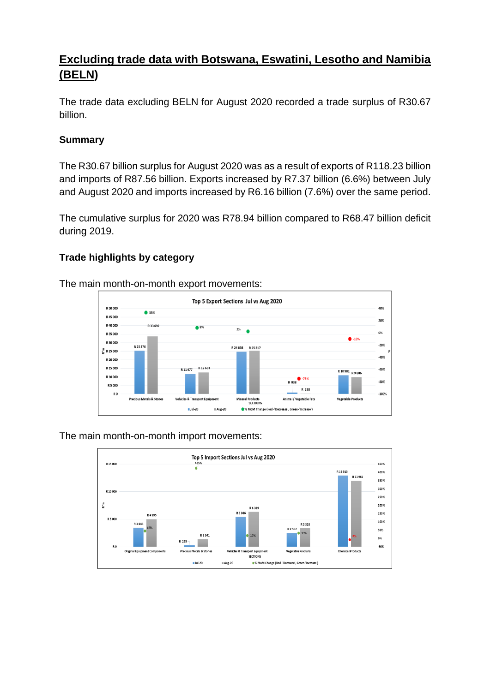# **Excluding trade data with Botswana, Eswatini, Lesotho and Namibia (BELN)**

The trade data excluding BELN for August 2020 recorded a trade surplus of R30.67 billion.

### **Summary**

The R30.67 billion surplus for August 2020 was as a result of exports of R118.23 billion and imports of R87.56 billion. Exports increased by R7.37 billion (6.6%) between July and August 2020 and imports increased by R6.16 billion (7.6%) over the same period.

The cumulative surplus for 2020 was R78.94 billion compared to R68.47 billion deficit during 2019.

### **Trade highlights by category**

The main month-on-month export movements:



The main month-on-month import movements:

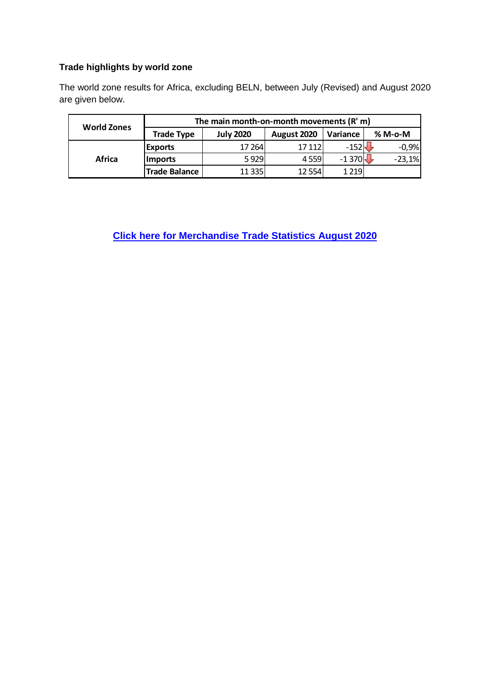#### **Trade highlights by world zone**

The world zone results for Africa, excluding BELN, between July (Revised) and August 2020 are given below.

|                    | The main month-on-month movements (R' m) |                  |             |          |          |  |  |  |  |
|--------------------|------------------------------------------|------------------|-------------|----------|----------|--|--|--|--|
| <b>World Zones</b> | <b>Trade Type</b>                        | <b>July 2020</b> | August 2020 | Variance | % M-o-M  |  |  |  |  |
|                    | <b>Exports</b>                           | 17 264           | 17 112      | $-152$   | $-0,9%$  |  |  |  |  |
| Africa             | <b>Imports</b>                           | 5929             | 4559        | $-1370$  | $-23,1%$ |  |  |  |  |
|                    | <b>Trade Balance</b>                     | 11 3 35          | 12 5 54     | 1 2 1 9  |          |  |  |  |  |

**[Click here for Merchandise Trade Statistics August](http://www.sars.gov.za/ClientSegments/Customs-Excise/Trade-Statistics/Pages/Merchandise-Trade-Statistics.aspx) 2020**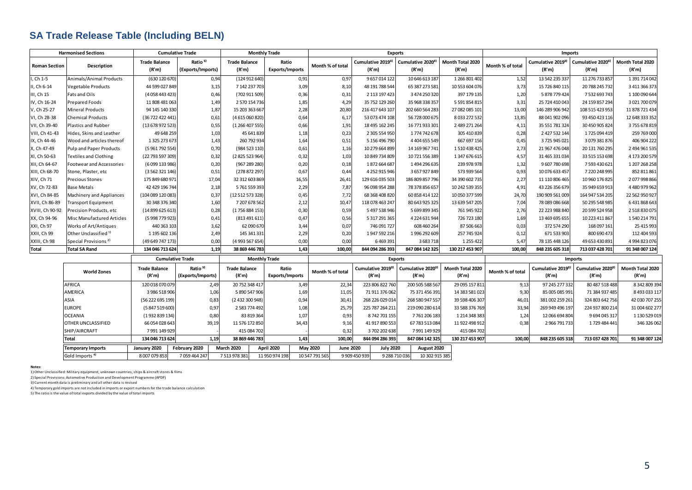## **SA Trade Release Table (Including BELN)**

| <b>Harmonised Sections</b> |                                  | <b>Cumulative Trade</b>       |                                          |                               | <b>Monthly Trade</b>            |                              | <b>Exports</b>                         |                                        |                           |                  | <b>Imports</b>             |                                        |                           |  |
|----------------------------|----------------------------------|-------------------------------|------------------------------------------|-------------------------------|---------------------------------|------------------------------|----------------------------------------|----------------------------------------|---------------------------|------------------|----------------------------|----------------------------------------|---------------------------|--|
| <b>Roman Section</b>       | Description                      | <b>Trade Balance</b><br>(R'm) | Ratio <sup>5)</sup><br>(Exports/Imports) | <b>Trade Balance</b><br>(R'm) | Ratio<br><b>Exports/Imports</b> | Month % of total             | Cumulative 20193)<br>(R'm)             | Cumulative 2020 <sup>3)</sup><br>(R'm) | Month Total 2020<br>(R'm) | Month % of total | Cumulative 20193)<br>(R'm) | Cumulative 2020 <sup>3)</sup><br>(R'm) | Month Total 2020<br>(R'm) |  |
| , Ch 1-5                   | Animals/Animal Products          | (630 120 670)                 | 0,94                                     | (124912640)                   | 0,91                            | 0,97                         | 9 657 014 122                          | 10 646 613 187                         | 1 266 801 402             | 1,52             | 13 542 235 337             | 11 276 733 857                         | 1 391 714 042             |  |
| I, Ch 6-14                 | <b>Vegetable Products</b>        | 44 599 027 849                | 3,15                                     | 7 142 237 703                 | 3,09                            | 8,10                         | 48 191 788 544                         | 65 387 273 581                         | 10 553 604 076            | 3,73             | 15 726 840 115             | 20 788 245 732                         | 3 411 366 373             |  |
| III, Ch 15                 | Fats and Oils                    | (4058443423                   | 0,46                                     | (702 911 509)                 | 0,36                            | 0,31                         | 2 113 197 423                          | 3 474 250 320                          | 397 179 135               | 1,20             | 5 878 779 424              | 7 532 693 743                          | 1 100 090 644             |  |
| IV, Ch 16-24               | <b>Prepared Foods</b>            | 11 808 481 063                | 1,49                                     | 2 570 154 736                 | 1,85                            | 4,29                         | 35 752 129 260                         | 35 968 338 357                         | 5 591 854 815             | 3,31             | 25 724 410 043             | 24 159 857 294                         | 3021700079                |  |
| V, Ch 25-27                | <b>Mineral Products</b>          | 94 145 140 330                | 1,87                                     | 15 203 363 667                | 2,28                            | 20,80                        | 216 417 643 107                        | 202 660 564 283                        | 27 082 085 101            | 13,00            | 146 289 906 942            | 108 515 423 953                        | 11 878 721 434            |  |
| VI, Ch 28-38               | <b>Chemical Products</b>         | (36 722 422 441               | 0,61                                     | (4615060820)                  | 0,64                            | 6,17                         | 53 073 474 108                         | 56 728 000 675                         | 8 033 272 532             | 13,85            | 88 041 902 096             | 93 450 423 116                         | 12 648 333 352            |  |
| VII, Ch 39-40              | <b>Plastics and Rubber</b>       | (13 678 972 523               | 0,55                                     | (1266407555)                  | 0,66                            | 1,91                         | 18 495 162 245                         | 16 771 933 301                         | 2 489 271 264             | 4,11             | 35 551 781 324             | 30 450 905 824                         | 3755678819                |  |
| VIII, Ch 41-43             | Hides, Skins and Leather         | 49 648 259                    | 1,03                                     | 45 641 839                    | 1,18                            | 0,23                         | 2 305 554 950                          | 1774742678                             | 305 410 839               | 0,28             | 2 427 532 144              | 1725094419                             | 259 769 000               |  |
| IX, Ch 44-46               | Wood and articles thereof        | 1 325 273 673                 | 1,43                                     | 260 792 934                   | 1,64                            | 0,51                         | 5 156 496 790                          | 4 4 0 4 6 5 5 5 4 9                    | 667 697 156               | 0,45             | 3725945021                 | 3 079 381 876                          | 406 904 222               |  |
| X, Ch 47-49                | Pulp and Paper Products          | (5 961 792 554                | 0,70                                     | (984 523 110)                 | 0,61                            | 1,16                         | 10 279 664 899                         | 14 169 967 741                         | 1510438425                | 2,73             | 21 967 476 048             | 20 131 760 295                         | 2 494 961 535             |  |
| XI, Ch 50-63               | <b>Textiles and Clothing</b>     | (22 793 597 309)              | 0,32                                     | (2825 523 964)                | 0,32                            | 1,03                         | 10 849 734 809                         | 10 721 556 389                         | 1 347 676 615             | 4,57             | 31 465 331 034             | 33 515 153 698                         | 4 173 200 579             |  |
| XII, Ch 64-67              | <b>Footwear and Accessories</b>  | (6099 133 986)                | 0,20                                     | (967 289 280)                 | 0,20                            | 0,18                         | 1872 664 687                           | 1494 296 635                           | 239 978 978               | 1,32             | 9607780698                 | 7 593 430 621                          | 1 207 268 258             |  |
| XIII, Ch 68-70             | Stone, Plaster, etc              | (3 562 321 146)               | 0,51                                     | (278 872 297)                 | 0,67                            | 0,44                         | 4 252 915 946                          | 3657927849                             | 573 939 564               | 0,93             | 10 076 633 457             | 7 220 248 995                          | 852 811 861               |  |
| XIV, Ch 71                 | <b>Precious Stones</b>           | 175 849 680 97:               | 17,04                                    | 32 312 603 869                | 16,55                           | 26,41                        | 129 616 035 503                        | 186 809 857 796                        | 34 390 602 735            | 2,27             | 11 110 806 465             | 10 960 176 825                         | 2077998866                |  |
| XV, Ch 72-83               | <b>Base Metals</b>               | 42 429 196 744                | 2,18                                     | 5761559393                    | 2,29                            | 7,87                         | 96 098 954 288                         | 78 378 856 657                         | 10 242 539 355            | 4,91             | 43 226 356 679             | 35 949 659 913                         | 4480979962                |  |
| XVI, Ch 84-85              | Machinery and Appliances         | (104 089 120 083              | 0,3                                      | (12 512 573 328)              | 0,45                            | 7,72                         | 68 368 408 820                         | 60 858 414 122                         | 10 050 377 599            | 24,70            | 190 909 561 009            | 164 947 534 205                        | 22 562 950 927            |  |
| XVII, Ch 86-89             | Transport Equipment              | 30 348 376 340                | 1,60                                     | 7 207 678 562                 | 2,12                            | 10,47                        | 118 078 463 247                        | 80 643 925 325                         | 13 639 547 205            | 7,04             | 78 089 086 668             | 50 295 548 985                         | 6431868643                |  |
| XVIII, Ch 90-92            | Precision Products, etc          | (14 899 625 613               | 0,28                                     | (1756 884 153)                | 0,30                            | 0,59                         | 5 497 538 946                          | 5 699 899 345                          | 761 945 922               | 2,76             | 22 223 988 840             | 20 599 524 958                         | 2 518 830 075             |  |
| XX, Ch 94-96               | Misc Manufactured Articles       | (5 998 779 923                | 0,41                                     | (813491611)                   | 0,47                            | 0,56                         | 5 317 291 365                          | 4 224 631 944                          | 726 723 180               | 1,69             | 13 469 695 655             | 10 223 411 867                         | 1540 214 791              |  |
| XXI, Ch 97                 | Works of Art/Antiques            | 440 363 103                   | 3,62                                     | 62 090 670                    | 3,44                            | 0,07                         | 746 091 727                            | 608 460 264                            | 87 506 663                | 0,03             | 372 574 290                | 168 097 161                            | 25 415 993                |  |
| XXII, Ch 99                | Other Unclassified <sup>1)</sup> | 1 195 602 136                 | 2,49                                     | 145 341 331                   | 2,29                            | 0,20                         | 1947 592 216                           | 1996 292 609                           | 257 745 924               | 0,12             | 671 533 903                | 800 690 473                            | 112 404 593               |  |
| XXIII, Ch 98               | Special Provisions <sup>2)</sup> | (49 649 747 173               | 0,00                                     | (4 993 567 654)               | 0,00                            | 0,00                         | 6 4 69 3 91                            | 3 683 718                              | 1 2 5 4 2 2               | 5,47             | 78 135 448 126             | 49 653 430 891                         | 4 994 823 076             |  |
| <b>Total</b>               | <b>Total SA Rand</b>             | 134 046 713 624               | 1,19                                     | 38 869 446 783                | 1,43                            | 100,00                       | 844 094 286 393                        | 847 084 142 325                        | 130 217 453 907           | 100,00           | 848 235 605 318            | 713 037 428 701                        | 91 348 007 124            |  |
|                            |                                  |                               | <b>Cumulative Trade</b>                  | <b>Monthly Trade</b>          |                                 | <b>Exports</b>               |                                        |                                        |                           | <b>Imports</b>   |                            |                                        |                           |  |
|                            | <b>World Zones</b>               | <b>Trade Balance</b><br>(R'm) | Ratio <sup>5)</sup><br>(Exports/Imports) | <b>Trade Balance</b><br>(R'm) | Ratio<br><b>Exports/Imports</b> | Month % of total             | Cumulative 2019 <sup>3)</sup><br>(R'm) | Cumulative 2020 <sup>3</sup><br>(R'm)  | Month Total 2020<br>(R'm) | Month % of total | Cumulative 20193)<br>(R'm) | Cumulative 2020 <sup>3</sup><br>(R'm)  | Month Total 2020<br>(R'm) |  |
|                            | AFRICA                           | 120 018 070 079               | 2,49                                     | 20 752 348 417                | 3,49                            | 22,34                        | 223 806 822 760                        | 200 505 588 567                        | 29 095 157 811            | 9,13             | 97 245 277 332             | 80 487 518 488                         | 8 342 809 394             |  |
|                            | AMERICA                          | 3 986 518 906                 | 1,06                                     | 5 890 547 906                 | 1,69                            | 11,05                        | 71 911 376 062                         | 75 371 456 391                         | 14 383 581 023            | 9,30             | 85 005 085 991             | 71 384 937 485                         | 8 493 033 117             |  |
|                            | ASIA                             | (56 222 695 199)              | 0,83                                     | (2 432 300 948)               | 0,94                            | 30,41                        | 268 226 029 014                        | 268 580 947 557                        | 39 598 406 307            | 46,01            | 381 002 259 261            | 324 803 642 756                        | 42 030 707 255            |  |
|                            | <b>EUROPE</b>                    | (5 847 519 600)               | 0,97                                     | 2 583 774 492                 | 1,08                            | 25,79                        | 225 787 264 211                        | 219 090 280 614                        | 33 588 376 769            | 33,94            | 269 949 496 197            | 224 937 800 214                        | 31 004 602 277            |  |
|                            | <b>OCEANIA</b>                   | (1932 839 134                 | 0,80                                     | 83 819 364                    | 1,07                            | 0,93                         | 8742701155                             | 7761206183                             | 1 214 348 383             | 1,24             | 12 066 694 804             | 9694045317                             | 1 130 529 019             |  |
|                            | OTHER UNCLASSIFIED               | 66 054 028 64                 | 39,19                                    | 11 576 172 850                | 34,43                           | 9,16                         | 41 917 890 553                         | 67 783 513 084                         | 11 922 498 912            | 0,38             | 2 966 791 733              | 1729 484 441                           | 346 326 062               |  |
|                            | SHIP/AIRCRAFT                    | 7991149929                    |                                          | 415 084 702                   |                                 | 0,32                         | 3702202638                             | 7991149929                             | 415 084 702               |                  |                            |                                        |                           |  |
|                            | <b>Total</b>                     | 134 046 713 624               | 1,19                                     | 38 869 446 783                | 1,43                            | 100,00                       | 844 094 286 393                        | 847 084 142 325                        | 130 217 453 907           | 100,00           | 848 235 605 318            | 713 037 428 701                        | 91 348 007 124            |  |
|                            | <b>Temporary Imports</b>         | January 2020                  | February 2020                            | <b>March 2020</b>             | April 2020                      | May 2020<br><b>June 2020</b> | <b>July 2020</b>                       | August 2020                            |                           |                  |                            |                                        |                           |  |
|                            | Gold Imports <sup>4)</sup>       | 8 007 079 853                 | 7059464247                               | 7 513 978 381                 | 11 950 974 198                  | 10 547 791 565               | 9 909 450 939                          | 9 288 710 036<br>10 302 915 385        |                           |                  |                            |                                        |                           |  |

**Notes:**

1) Other Unclassified: Military equipment, unknown countries, ships & aircraft stores & films

2) Special Provisions: Automotive Production and Development Programme (APDP)

3) Current month data is preliminary and all other data is revised

4) Temporary gold imports are not included in imports or export numbers for the trade balance calculation

5) The ratio is the value of total exports divided by the value of total imports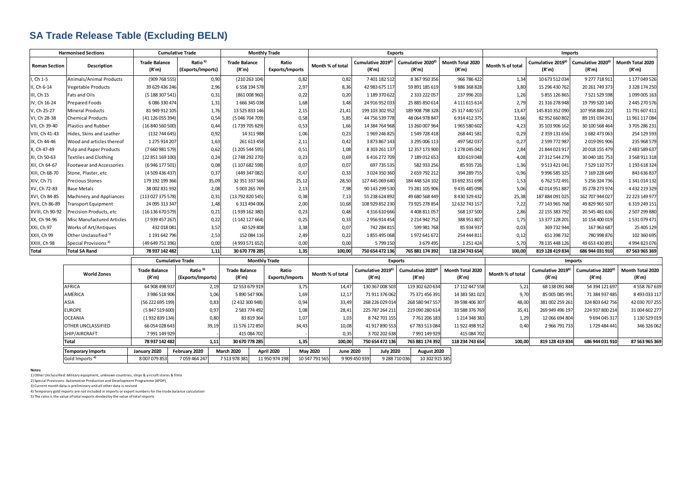## **SA Trade Release Table (Excluding BELN)**

| <b>Harmonised Sections</b> |                                                        | <b>Cumulative Trade</b>       |                                          | <b>Monthly Trade</b>            |                                 | <b>Exports</b>               |                                   |                                                |                           | <b>Imports</b>   |                                        |                                        |                           |
|----------------------------|--------------------------------------------------------|-------------------------------|------------------------------------------|---------------------------------|---------------------------------|------------------------------|-----------------------------------|------------------------------------------------|---------------------------|------------------|----------------------------------------|----------------------------------------|---------------------------|
| <b>Roman Section</b>       | Description                                            | <b>Trade Balance</b><br>(R'm) | Ratio <sup>5)</sup><br>(Exports/Imports) | <b>Trade Balance</b><br>(R'm)   | Ratio<br><b>Exports/Imports</b> | Month % of total             | Cumulative 20193)<br>(R'm)        | Cumulative 2020 <sup>3</sup><br>(R'm)          | Month Total 2020<br>(R'm) | Month % of total | Cumulative 2019 <sup>3</sup><br>(R'm)  | Cumulative 2020 <sup>3)</sup><br>(R'm) | Month Total 2020<br>(R'm) |
| , Ch 1-5                   | Animals/Animal Products                                | (909 768 555                  | 0,90                                     | (210 263 104)                   | 0,82                            | 0,82                         | 7 401 182 512                     | 8 367 950 356                                  | 966 786 422               | 1,34             | 10 673 512 034                         | 9 277 718 911                          | 1 177 049 526             |
| I, Ch 6-14                 | <b>Vegetable Products</b>                              | 39 629 436 246                | 2,96                                     | 6 558 194 578                   | 2,97                            | 8,36                         | 42 983 675 117                    | 59 891 185 619                                 | 9886368828                | 3,80             | 15 296 430 762                         | 20 261 749 373                         | 3 3 28 1 74 250           |
| III, Ch 15                 | Fats and Oils                                          | (5 188 307 541)               | 0,31                                     | (861008960)                     | 0,22                            | 0,20                         | 1 189 370 622                     | 2 3 3 2 2 2 0 5 7                              | 237 996 203               | 1,26             | 5 855 126 865                          | 7 521 529 598                          | 1099005163                |
| IV, Ch 16-24               | <b>Prepared Foods</b>                                  | 6 086 330 474                 | 1,31                                     | 1666345038                      | 1,68                            | 3,48                         | 24 916 952 033                    | 25 885 850 614                                 | 4 111 615 614             | 2,79             | 21 316 278 948                         | 19 799 520 140                         | 2 445 270 576             |
| V, Ch 25-27                | <b>Mineral Products</b>                                | 81 949 912 105                | 1,76                                     | 13 525 833 146                  | 2,15                            | 21,41                        | 199 103 302 952                   | 189 908 798 328                                | 25 317 440 557            | 13,47            | 145 810 352 090                        | 107 958 886 223                        | 11 791 607 411            |
| VI, Ch 28-38               | <b>Chemical Products</b>                               | (41 126 055 394               | 0,54                                     | (5 046 704 709)                 | 0,58                            | 5,85                         | 44 756 539 778                    | 48 064 978 847                                 | 6914412375                | 13,66            | 82 952 660 802                         | 89 191 034 241                         | 11 961 117 084            |
| VII, Ch 39-40              | <b>Plastics and Rubber</b>                             | (16 840 560 500               | 0,44                                     | (1739705629)                    | 0,53                            | 1,66                         | 14 384 764 968                    | 13 260 007 964                                 | 1965 580 602              | 4,23             | 35 103 906 162                         | 30 100 568 464                         | 3705 286 231              |
| VIII, Ch 41-43             | Hides, Skins and Leather                               | (132 744 645                  | 0,92                                     | 14 311 988                      | 1,06                            | 0,23                         | 1969 246 825                      | 1549728418                                     | 268 441 581               | 0,29             | 2 359 131 656                          | 1682 473 063                           | 254 129 593               |
| IX, Ch 44-46               | Wood and articles thereof                              | 1 275 914 207                 | 1,63                                     | 261 613 458                     | 2,11                            | 0,42                         | 3 873 867 143                     | 3 295 006 113                                  | 497 582 037               | 0,27             | 2 599 772 987                          | 2019091906                             | 235 968 579               |
| X, Ch 47-49                | Pulp and Paper Products                                | (7660981579)                  | 0,62                                     | (1 205 544 595)                 | 0,51                            | 1,08                         | 8 303 261 137                     | 12 357 173 900                                 | 1278045042                | 2,84             | 21 844 023 917                         | 20 018 155 479                         | 2 483 589 637             |
| XI, Ch 50-63               | <b>Textiles and Clothing</b>                           | (22 851 169 100)              | 0,24                                     | (2748 292 270)                  | 0,23                            | 0,69                         | 6416272709                        | 7 189 012 653                                  | 820 619 048               | 4,08             | 27 312 544 279                         | 30 040 181 753                         | 3 568 911 318             |
| XII, Ch 64-67              | Footwear and Accessories                               | (6 946 177 501                | 0,08                                     | (1 107 682 598)                 | 0,07                            | 0,07                         | 697 735 535                       | 582 933 256                                    | 85 935 726                | 1,36             | 9 5 13 4 2 1 0 4 1                     | 7 529 110 757                          | 1 193 618 324             |
| XIII, Ch 68-70             | Stone, Plaster, etc                                    | (4 509 436 437                | 0,37                                     | (449 347 082)                   | 0,47                            | 0,33                         | 3024350360                        | 2659792212                                     | 394 289 755               | 0,96             | 9 996 585 325                          | 7 169 228 649                          | 843 636 837               |
| XIV, Ch 71                 | <b>Precious Stones</b>                                 | 179 192 199 366               | 35,09                                    | 32 351 337 566                  | 25,12                           | 28,50                        | 127 445 069 640                   | 184 448 524 102                                | 33 692 351 698            | 1,53             | 6762572491                             | 5 256 324 736                          | 1 341 014 132             |
| XV, Ch 72-83               | <b>Base Metals</b>                                     | 38 002 831 932                | 2,08                                     | 5 003 265 769                   | 2,13                            | 7,98                         | 90 143 299 530                    | 73 281 105 906                                 | 9 435 485 098             | 5,06             | 42 014 951 887                         | 35 278 273 974                         | 4 4 3 2 2 1 9 3 2 9       |
| XVI, Ch 84-85              | Machinery and Appliances                               | (113 027 375 578)             | 0,31                                     | (13 792 820 545)                | 0,38                            | 7,13                         | 55 238 624 892                    | 49 680 568 449                                 | 8430329432                | 25,38            | 187 884 091 025                        | 162 707 944 027                        | 22 223 149 977            |
| XVII, Ch 86-89             | Transport Equipment                                    | 24 095 313 347                | 1,48                                     | 6 313 494 006                   | 2,00                            | 10,68                        | 108 929 852 230                   | 73 925 278 854                                 | 12 632 743 157            | 7,22             | 77 143 965 768                         | 49 829 965 507                         | 6 319 249 151             |
| XVIII, Ch 90-92            | Precision Products, etc                                | (16 136 670 579)              | 0,21                                     | (1939 162 380)                  | 0,23                            | 0,48                         | 4 316 610 666                     | 4 4 08 8 1 1 0 5 7                             | 568 137 500               | 2,86             | 22 155 383 792                         | 20 545 481 636                         | 2 507 299 880             |
| XX, Ch 94-96               | Misc Manufactured Articles                             | (7 939 457 267                | 0,22                                     | (1 142 127 664)                 | 0,25                            | 0,33                         | 2 956 914 454                     | 2 2 14 9 42 7 52                               | 388 951 807               | 1,75             | 13 377 128 201                         | 10 154 400 019                         | 1531079471                |
| XXI, Ch 97                 | Works of Art/Antiques                                  | 432 018 08:                   | 3,57                                     | 60 529 808                      | 3,38                            | 0,07                         | 742 284 815                       | 599 981 768                                    | 85 934 937                | 0,03             | 369 732 944                            | 167 963 687                            | 25 405 129                |
| XXII, Ch 99                | Other Unclassified <sup>1)</sup>                       | 1 191 642 796                 | 2,53                                     | 152 084 116                     | 2,49                            | 0,22                         | 1855 495 068                      | 1972 641 672                                   | 254 444 811               | 0,12             | 651 398 732                            | 780 998 876                            | 102 360 695               |
| XXIII, Ch 98               | Special Provisions <sup>2)</sup>                       | (49 649 751 396               | 0,00                                     | (4 993 571 652)                 | 0,00                            | 0,00                         | 5799150                           | 3 679 495                                      | 1251424                   | 5,70             | 78 135 448 126                         | 49 653 430 891                         | 4 994 823 076             |
| <b>Total</b>               | <b>Total SA Rand</b>                                   | 78 937 142 482                | 1.11                                     | 30 670 778 285                  | 1,35                            | 100,00                       | 750 654 472 136                   | 765 881 174 392                                | 118 234 743 654           | 100.00           | 819 128 419 834                        | 686 944 031 910                        | 87 563 965 369            |
|                            |                                                        | <b>Cumulative Trade</b>       |                                          |                                 | <b>Monthly Trade</b>            |                              | <b>Exports</b>                    |                                                |                           | <b>Imports</b>   |                                        |                                        |                           |
|                            | <b>World Zones</b>                                     | <b>Trade Balance</b><br>(R'm) | Ratio <sup>5)</sup><br>(Exports/Imports) | <b>Trade Balance</b><br>(R'm)   | Ratio<br><b>Exports/Imports</b> | Month % of total             | Cumulative 20193)<br>(R'm)        | Cumulative 2020 <sup>3)</sup><br>(R'm)         | Month Total 2020<br>(R'm) | Month % of total | Cumulative 2019 <sup>3)</sup><br>(R'm) | Cumulative 2020 <sup>3</sup><br>(R'm)  | Month Total 2020<br>(R'm) |
|                            | AFRICA                                                 | 64 908 498 937                | 2,19                                     | 12 553 679 919                  | 3,75                            | 14,47                        | 130 367 008 503                   | 119 302 620 634                                | 17 112 447 558            | 5,21             | 68 138 091 848                         | 54 394 121 697                         | 4558767639                |
|                            | AMERICA                                                | 3 986 518 906                 | 1,06                                     | 5 890 547 906                   | 1,69                            | 12,17                        | 71 911 376 062                    | 75 371 456 391                                 | 14 383 581 023            | 9,70             | 85 005 085 991                         | 71 384 937 485                         | 8 493 033 117             |
|                            | ASIA                                                   | (56 222 695 199)              | 0,83                                     | (2 432 300 948)                 | 0,94                            | 33,49                        | 268 226 029 014                   | 268 580 947 557                                | 39 598 406 307            | 48,00            | 381 002 259 261                        | 324 803 642 756                        | 42 030 707 255            |
|                            | <b>EUROPE</b>                                          | (5 847 519 600)               | 0,97                                     | 2 583 774 492                   | 1,08                            | 28,41                        | 225 787 264 211                   | 219 090 280 614                                | 33 588 376 769            | 35,41            | 269 949 496 19                         | 224 937 800 214                        | 31 004 602 277            |
|                            | OCEANIA                                                | (1932 839 134)                | 0,80                                     | 83 819 364                      | 1,07                            | 1,03                         | 8742701155                        | 7761206183                                     | 1 214 348 383             | 1,29             | 12 066 694 804                         | 9 694 045 317                          | 1 130 529 019             |
|                            | OTHER UNCLASSIFIED                                     | 66 054 028 643                | 39,19                                    | 11 576 172 850                  | 34,43                           | 10,08                        | 41 917 890 553                    | 67 783 513 084                                 | 11 922 498 912            | 0,40             | 2 966 791 733                          | 1729 484 441                           | 346 326 062               |
|                            | SHIP/AIRCRAFT                                          | 7991149929                    |                                          | 415 084 702                     |                                 | 0,35                         | 3702202638                        | 7991149929                                     | 415 084 702               |                  |                                        |                                        |                           |
|                            | <b>Total</b>                                           | 78 937 142 482                | 1,11                                     | 30 670 778 285                  | 1,35                            | 100,00                       | 750 654 472 136                   | 765 881 174 392                                | 118 234 743 654           | 100,00           | 819 128 419 834                        | 686 944 031 910                        | 87 563 965 369            |
|                            |                                                        |                               |                                          |                                 |                                 | May 2020<br><b>June 2020</b> |                                   |                                                |                           |                  |                                        |                                        |                           |
|                            | <b>Temporary Imports</b><br>Gold Imports <sup>4)</sup> | January 2020                  | February 2020<br>7059464247              | <b>March 2020</b><br>7513978381 | April 2020<br>11 950 974 198    |                              | <b>July 2020</b><br>9 909 450 939 | August 2020<br>9 288 710 036<br>10 302 915 385 |                           |                  |                                        |                                        |                           |
|                            |                                                        | 8 007 079 853                 |                                          |                                 |                                 | 10 547 791 565               |                                   |                                                |                           |                  |                                        |                                        |                           |

**Notes:**

1) Other Unclassified: Military equipment, unknown countries, ships & aircraft stores & films

2) Special Provisions: Automotive Production and Development Programme (APDP)

3) Current month data is preliminary and all other data is revised

4) Temporary gold imports are not included in imports or export numbers for the trade balance calculation

5) The ratio is the value of total exports divided by the value of total imports